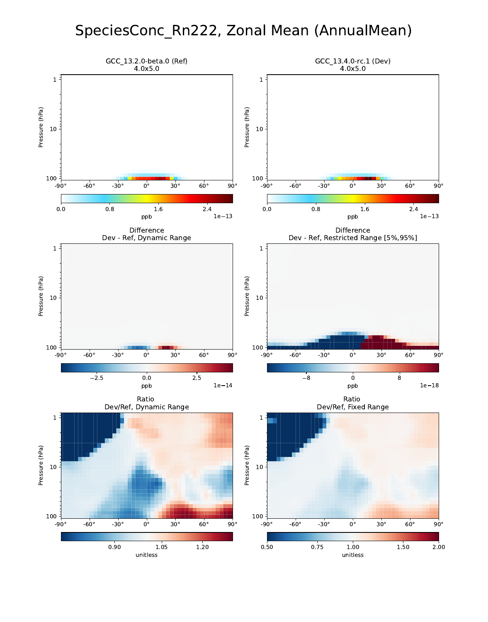# SpeciesConc\_Rn222, Zonal Mean (AnnualMean)

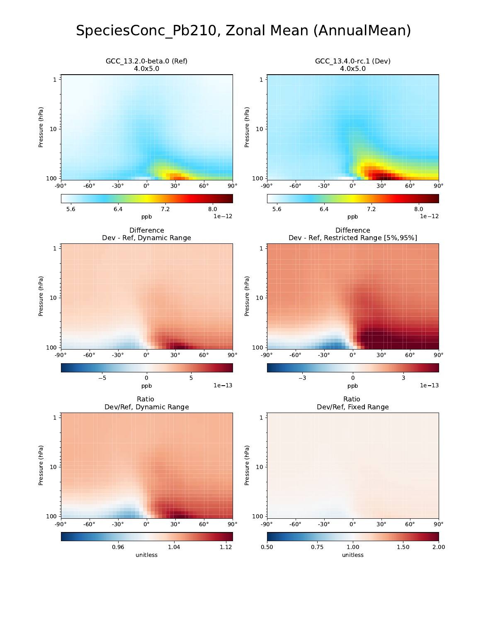# SpeciesConc\_Pb210, Zonal Mean (AnnualMean)

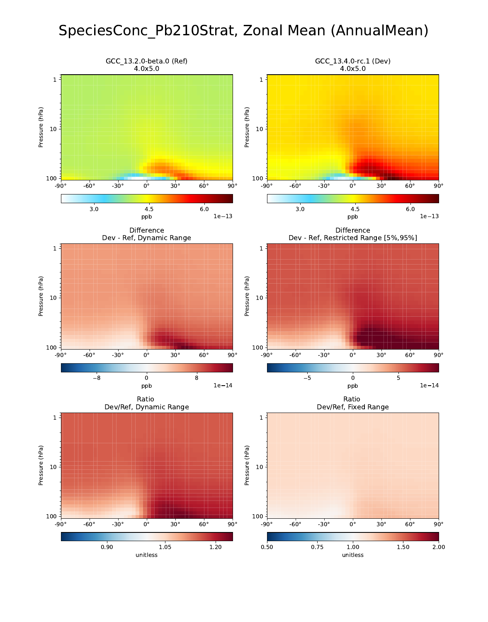# SpeciesConc\_Pb210Strat, Zonal Mean (AnnualMean)

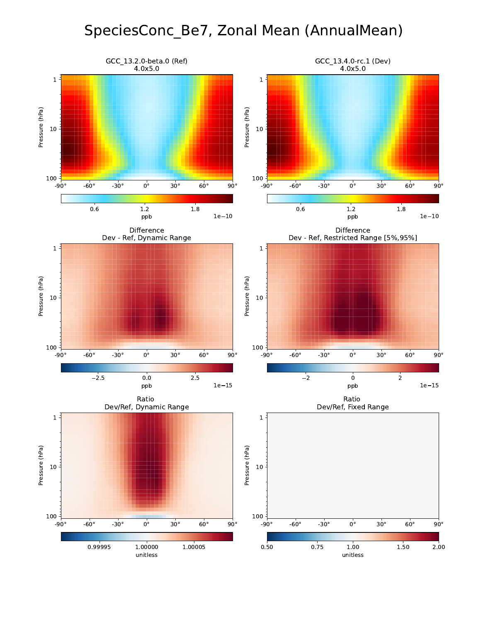# SpeciesConc\_Be7, Zonal Mean (AnnualMean)

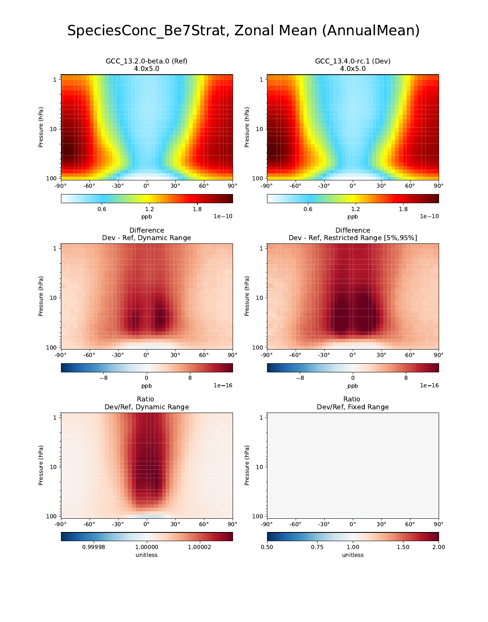# SpeciesConc\_Be7Strat, Zonal Mean (AnnualMean)

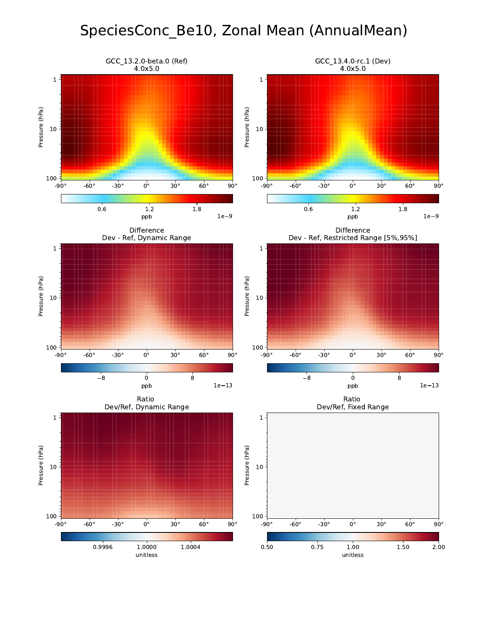# SpeciesConc\_Be10, Zonal Mean (AnnualMean)